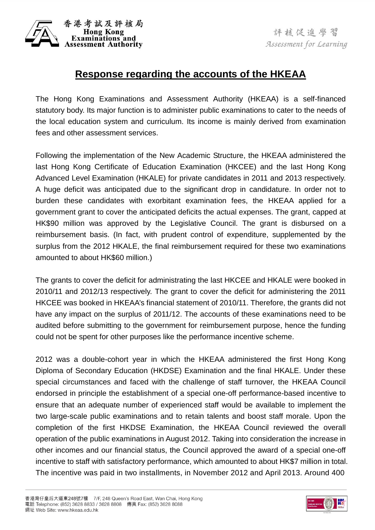

## **Response regarding the accounts of the HKEAA**

The Hong Kong Examinations and Assessment Authority (HKEAA) is a self-financed statutory body. Its major function is to administer public examinations to cater to the needs of the local education system and curriculum. Its income is mainly derived from examination fees and other assessment services.

Following the implementation of the New Academic Structure, the HKEAA administered the last Hong Kong Certificate of Education Examination (HKCEE) and the last Hong Kong Advanced Level Examination (HKALE) for private candidates in 2011 and 2013 respectively. A huge deficit was anticipated due to the significant drop in candidature. In order not to burden these candidates with exorbitant examination fees, the HKEAA applied for a government grant to cover the anticipated deficits the actual expenses. The grant, capped at HK\$90 million was approved by the Legislative Council. The grant is disbursed on a reimbursement basis. (In fact, with prudent control of expenditure, supplemented by the surplus from the 2012 HKALE, the final reimbursement required for these two examinations amounted to about HK\$60 million.)

The grants to cover the deficit for administrating the last HKCEE and HKALE were booked in 2010/11 and 2012/13 respectively. The grant to cover the deficit for administering the 2011 HKCEE was booked in HKEAA's financial statement of 2010/11. Therefore, the grants did not have any impact on the surplus of 2011/12. The accounts of these examinations need to be audited before submitting to the government for reimbursement purpose, hence the funding could not be spent for other purposes like the performance incentive scheme.

2012 was a double-cohort year in which the HKEAA administered the first Hong Kong Diploma of Secondary Education (HKDSE) Examination and the final HKALE. Under these special circumstances and faced with the challenge of staff turnover, the HKEAA Council endorsed in principle the establishment of a special one-off performance-based incentive to ensure that an adequate number of experienced staff would be available to implement the two large-scale public examinations and to retain talents and boost staff morale. Upon the completion of the first HKDSE Examination, the HKEAA Council reviewed the overall operation of the public examinations in August 2012. Taking into consideration the increase in other incomes and our financial status, the Council approved the award of a special one-off incentive to staff with satisfactory performance, which amounted to about HK\$7 million in total. The incentive was paid in two installments, in November 2012 and April 2013. Around 400